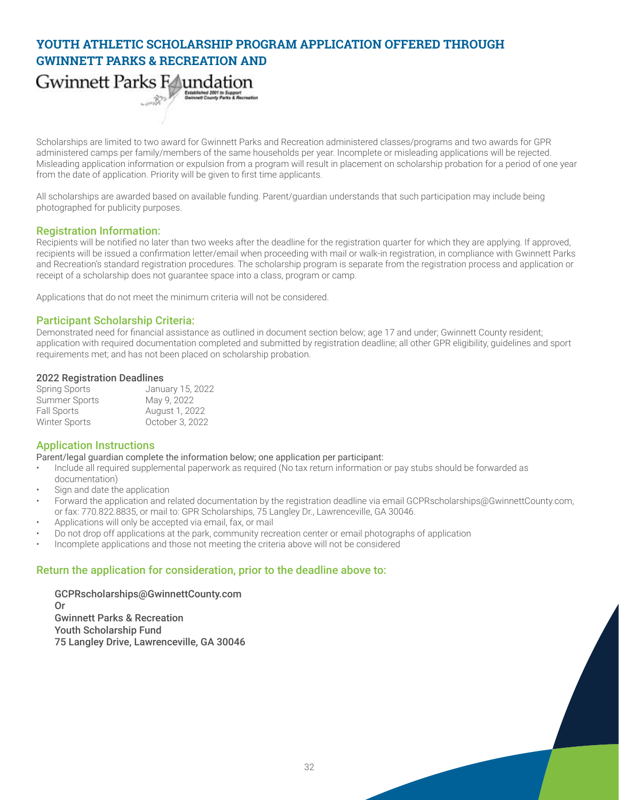# **YOUTH ATHLETIC SCHOLARSHIP PROGRAM APPLICATION OFFERED THROUGH GWINNETT PARKS & RECREATION AND**

Gwinnett Parks Faundation Established 2001 to Support<br>Gwinnett County Parks & Recreation

Scholarships are limited to two award for Gwinnett Parks and Recreation administered classes/programs and two awards for GPR administered camps per family/members of the same households per year. Incomplete or misleading applications will be rejected. Misleading application information or expulsion from a program will result in placement on scholarship probation for a period of one year from the date of application. Priority will be given to first time applicants.

All scholarships are awarded based on available funding. Parent/guardian understands that such participation may include being photographed for publicity purposes.

#### Registration Information:

Recipients will be notified no later than two weeks after the deadline for the registration quarter for which they are applying. If approved, recipients will be issued a confirmation letter/email when proceeding with mail or walk-in registration, in compliance with Gwinnett Parks and Recreation's standard registration procedures. The scholarship program is separate from the registration process and application or receipt of a scholarship does not guarantee space into a class, program or camp.

Applications that do not meet the minimum criteria will not be considered.

### Participant Scholarship Criteria:

Demonstrated need for financial assistance as outlined in document section below; age 17 and under; Gwinnett County resident; application with required documentation completed and submitted by registration deadline; all other GPR eligibility, guidelines and sport requirements met; and has not been placed on scholarship probation.

#### 2022 Registration Deadlines

| <b>Spring Sports</b> | January 15, 2022 |
|----------------------|------------------|
| <b>Summer Sports</b> | May 9, 2022      |
| <b>Fall Sports</b>   | August 1, 2022   |
| <b>Winter Sports</b> | October 3, 2022  |

## Application Instructions

Parent/legal guardian complete the information below; one application per participant:

- Include all required supplemental paperwork as required (No tax return information or pay stubs should be forwarded as documentation)
- Sign and date the application
- Forward the application and related documentation by the registration deadline via email [GCPRscholarships@GwinnettCounty.com](mailto:GCPRscholarships%40GwinnettCounty.com?subject=), or fax: 770.822.8835, or mail to: GPR Scholarships, 75 Langley Dr., Lawrenceville, GA 30046.
- Applications will only be accepted via email, fax, or mail
- Do not drop off applications at the park, community recreation center or email photographs of application
- Incomplete applications and those not meeting the criteria above will not be considered

#### Return the application for consideration, prior to the deadline above to:

[GCPRscholarships@GwinnettCounty.com](mailto:GCPRscholarships%40GwinnettCounty.com?subject=) Or Gwinnett Parks & Recreation Youth Scholarship Fund 75 Langley Drive, Lawrenceville, GA 30046